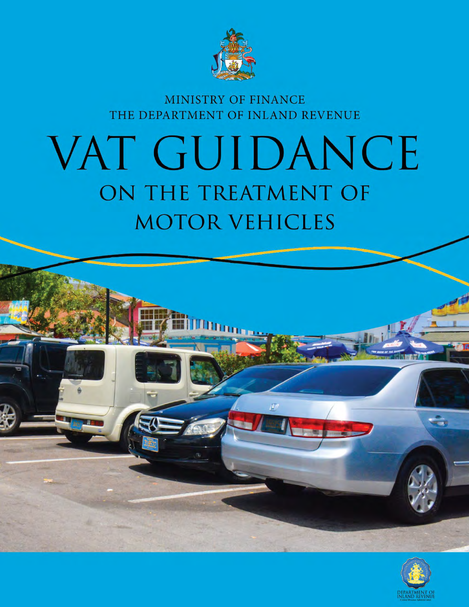

**MINISTRY OF FINANCE** THE DEPARTMENT OF INLAND REVENUE

# VAT GUIDANCE ON THE TREATMENT OF **MOTOR VEHICLES**

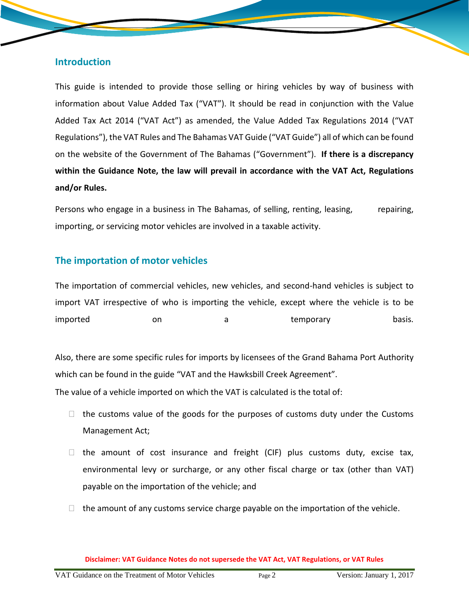## **Introduction**

This guide is intended to provide those selling or hiring vehicles by way of business with information about Value Added Tax ("VAT"). It should be read in conjunction with the Value Added Tax Act 2014 ("VAT Act") as amended, the Value Added Tax Regulations 2014 ("VAT Regulations"), the VAT Rules and The Bahamas VAT Guide ("VAT Guide") all of which can be found on the website of the Government of The Bahamas ("Government"). **If there is a discrepancy within the Guidance Note, the law will prevail in accordance with the VAT Act, Regulations and/or Rules.**

Persons who engage in a business in The Bahamas, of selling, renting, leasing, repairing, importing, or servicing motor vehicles are involved in a taxable activity.

## **The importation of motor vehicles**

The importation of commercial vehicles, new vehicles, and second-hand vehicles is subject to import VAT irrespective of who is importing the vehicle, except where the vehicle is to be imported on on a temporary basis.

Also, there are some specific rules for imports by licensees of the Grand Bahama Port Authority which can be found in the guide "VAT and the Hawksbill Creek Agreement".

The value of a vehicle imported on which the VAT is calculated is the total of:

- $\Box$  the customs value of the goods for the purposes of customs duty under the Customs Management Act;
- $\Box$  the amount of cost insurance and freight (CIF) plus customs duty, excise tax, environmental levy or surcharge, or any other fiscal charge or tax (other than VAT) payable on the importation of the vehicle; and
- $\Box$  the amount of any customs service charge payable on the importation of the vehicle.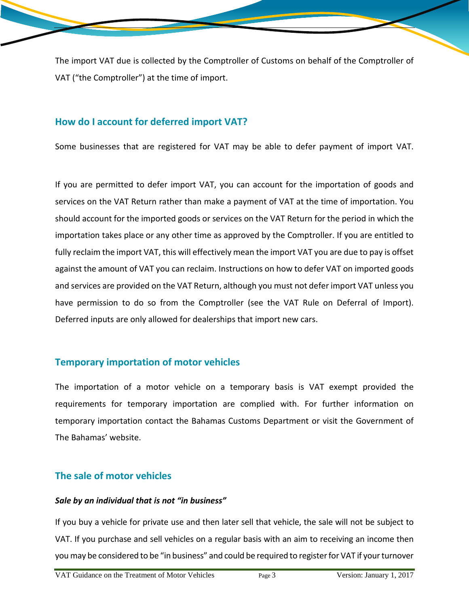The import VAT due is collected by the Comptroller of Customs on behalf of the Comptroller of VAT ("the Comptroller") at the time of import.

## **How do I account for deferred import VAT?**

Some businesses that are registered for VAT may be able to defer payment of import VAT.

If you are permitted to defer import VAT, you can account for the importation of goods and services on the VAT Return rather than make a payment of VAT at the time of importation. You should account for the imported goods or services on the VAT Return for the period in which the importation takes place or any other time as approved by the Comptroller. If you are entitled to fully reclaim the import VAT, this will effectively mean the import VAT you are due to pay is offset against the amount of VAT you can reclaim. Instructions on how to defer VAT on imported goods and services are provided on the VAT Return, although you must not defer import VAT unless you have permission to do so from the Comptroller (see the VAT Rule on Deferral of Import). Deferred inputs are only allowed for dealerships that import new cars.

## **Temporary importation of motor vehicles**

The importation of a motor vehicle on a temporary basis is VAT exempt provided the requirements for temporary importation are complied with. For further information on temporary importation contact the Bahamas Customs Department or visit the Government of The Bahamas' website.

## **The sale of motor vehicles**

#### *Sale by an individual that is not "in business"*

If you buy a vehicle for private use and then later sell that vehicle, the sale will not be subject to VAT. If you purchase and sell vehicles on a regular basis with an aim to receiving an income then you may be considered to be "in business" and could be required to register for VAT if your turnover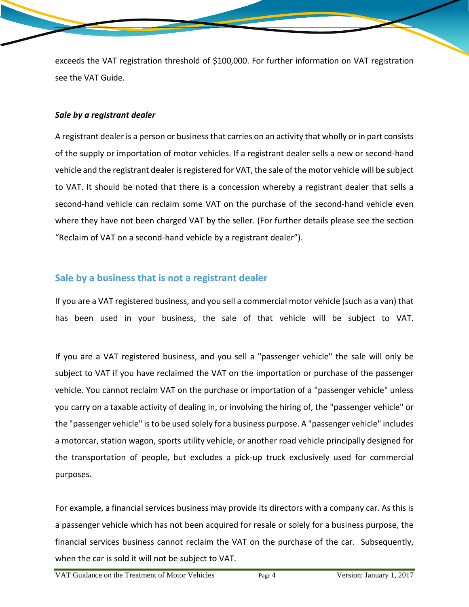exceeds the VAT registration threshold of \$100,000. For further information on VAT registration see the VAT Guide.

#### *Sale by a registrant dealer*

A registrant dealer is a person or business that carries on an activity that wholly or in part consists of the supply or importation of motor vehicles. If a registrant dealer sells a new or second-hand vehicle and the registrant dealer is registered for VAT, the sale of the motor vehicle will be subject to VAT. It should be noted that there is a concession whereby a registrant dealer that sells a second-hand vehicle can reclaim some VAT on the purchase of the second-hand vehicle even where they have not been charged VAT by the seller. (For further details please see the section "Reclaim of VAT on a second-hand vehicle by a registrant dealer").

## **Sale by a business that is not a registrant dealer**

If you are a VAT registered business, and you sell a commercial motor vehicle (such as a van) that has been used in your business, the sale of that vehicle will be subject to VAT.

If you are a VAT registered business, and you sell a "passenger vehicle" the sale will only be subject to VAT if you have reclaimed the VAT on the importation or purchase of the passenger vehicle. You cannot reclaim VAT on the purchase or importation of a "passenger vehicle" unless you carry on a taxable activity of dealing in, or involving the hiring of, the "passenger vehicle" or the "passenger vehicle" isto be used solely for a business purpose. A "passenger vehicle" includes a motorcar, station wagon, sports utility vehicle, or another road vehicle principally designed for the transportation of people, but excludes a pick-up truck exclusively used for commercial purposes.

For example, a financial services business may provide its directors with a company car. As this is a passenger vehicle which has not been acquired for resale or solely for a business purpose, the financial services business cannot reclaim the VAT on the purchase of the car. Subsequently, when the car is sold it will not be subject to VAT.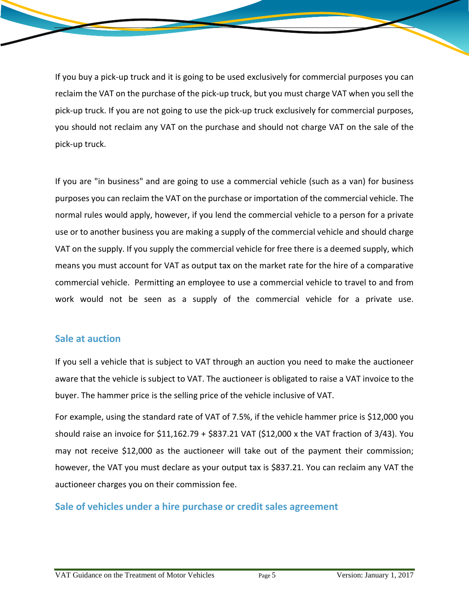If you buy a pick-up truck and it is going to be used exclusively for commercial purposes you can reclaim the VAT on the purchase of the pick-up truck, but you must charge VAT when you sell the pick-up truck. If you are not going to use the pick-up truck exclusively for commercial purposes, you should not reclaim any VAT on the purchase and should not charge VAT on the sale of the pick-up truck.

If you are "in business" and are going to use a commercial vehicle (such as a van) for business purposes you can reclaim the VAT on the purchase or importation of the commercial vehicle. The normal rules would apply, however, if you lend the commercial vehicle to a person for a private use or to another business you are making a supply of the commercial vehicle and should charge VAT on the supply. If you supply the commercial vehicle for free there is a deemed supply, which means you must account for VAT as output tax on the market rate for the hire of a comparative commercial vehicle. Permitting an employee to use a commercial vehicle to travel to and from work would not be seen as a supply of the commercial vehicle for a private use.

## **Sale at auction**

If you sell a vehicle that is subject to VAT through an auction you need to make the auctioneer aware that the vehicle is subject to VAT. The auctioneer is obligated to raise a VAT invoice to the buyer. The hammer price is the selling price of the vehicle inclusive of VAT.

For example, using the standard rate of VAT of 7.5%, if the vehicle hammer price is \$12,000 you should raise an invoice for \$11,162.79 + \$837.21 VAT (\$12,000 x the VAT fraction of 3/43). You may not receive \$12,000 as the auctioneer will take out of the payment their commission; however, the VAT you must declare as your output tax is \$837.21. You can reclaim any VAT the auctioneer charges you on their commission fee.

# **Sale of vehicles under a hire purchase or credit sales agreement**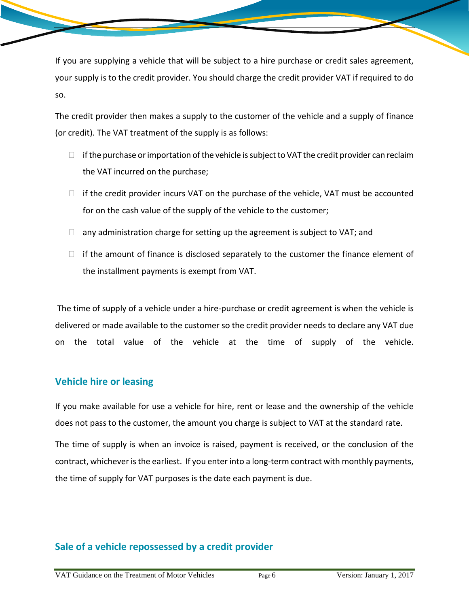If you are supplying a vehicle that will be subject to a hire purchase or credit sales agreement, your supply is to the credit provider. You should charge the credit provider VAT if required to do so.

The credit provider then makes a supply to the customer of the vehicle and a supply of finance (or credit). The VAT treatment of the supply is as follows:

- $\Box$  if the purchase or importation of the vehicle is subject to VAT the credit provider can reclaim the VAT incurred on the purchase;
- $\Box$  if the credit provider incurs VAT on the purchase of the vehicle, VAT must be accounted for on the cash value of the supply of the vehicle to the customer;
- $\Box$  any administration charge for setting up the agreement is subject to VAT; and
- $\Box$  if the amount of finance is disclosed separately to the customer the finance element of the installment payments is exempt from VAT.

 The time of supply of a vehicle under a hire-purchase or credit agreement is when the vehicle is delivered or made available to the customer so the credit provider needs to declare any VAT due on the total value of the vehicle at the time of supply of the vehicle.

## **Vehicle hire or leasing**

If you make available for use a vehicle for hire, rent or lease and the ownership of the vehicle does not pass to the customer, the amount you charge is subject to VAT at the standard rate.

The time of supply is when an invoice is raised, payment is received, or the conclusion of the contract, whichever is the earliest. If you enter into a long-term contract with monthly payments, the time of supply for VAT purposes is the date each payment is due.

## **Sale of a vehicle repossessed by a credit provider**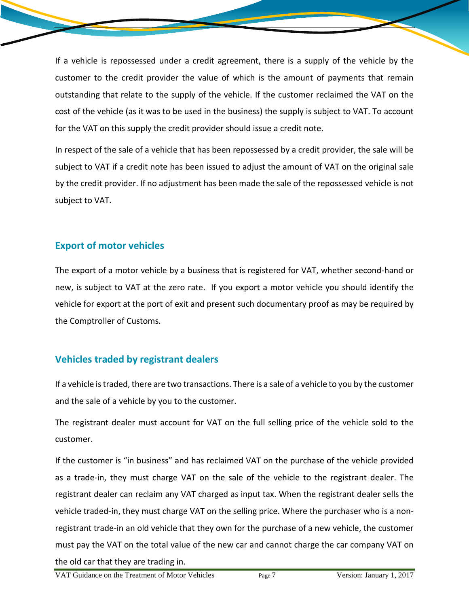If a vehicle is repossessed under a credit agreement, there is a supply of the vehicle by the customer to the credit provider the value of which is the amount of payments that remain outstanding that relate to the supply of the vehicle. If the customer reclaimed the VAT on the cost of the vehicle (as it was to be used in the business) the supply is subject to VAT. To account for the VAT on this supply the credit provider should issue a credit note.

In respect of the sale of a vehicle that has been repossessed by a credit provider, the sale will be subject to VAT if a credit note has been issued to adjust the amount of VAT on the original sale by the credit provider. If no adjustment has been made the sale of the repossessed vehicle is not subject to VAT.

# **Export of motor vehicles**

The export of a motor vehicle by a business that is registered for VAT, whether second-hand or new, is subject to VAT at the zero rate. If you export a motor vehicle you should identify the vehicle for export at the port of exit and present such documentary proof as may be required by the Comptroller of Customs.

# **Vehicles traded by registrant dealers**

If a vehicle is traded, there are two transactions. There is a sale of a vehicle to you by the customer and the sale of a vehicle by you to the customer.

The registrant dealer must account for VAT on the full selling price of the vehicle sold to the customer.

If the customer is "in business" and has reclaimed VAT on the purchase of the vehicle provided as a trade-in, they must charge VAT on the sale of the vehicle to the registrant dealer. The registrant dealer can reclaim any VAT charged as input tax. When the registrant dealer sells the vehicle traded-in, they must charge VAT on the selling price. Where the purchaser who is a nonregistrant trade-in an old vehicle that they own for the purchase of a new vehicle, the customer must pay the VAT on the total value of the new car and cannot charge the car company VAT on the old car that they are trading in.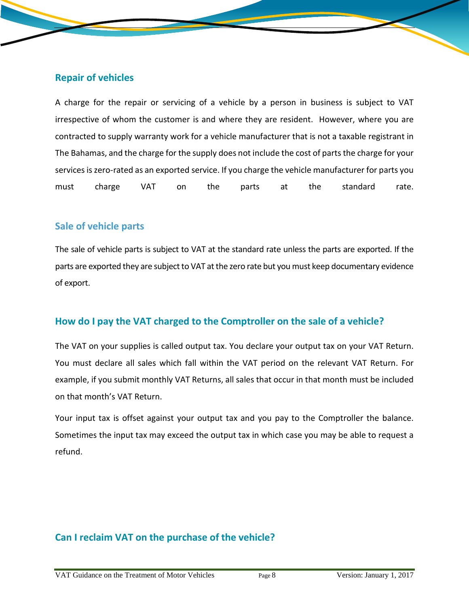## **Repair of vehicles**

A charge for the repair or servicing of a vehicle by a person in business is subject to VAT irrespective of whom the customer is and where they are resident. However, where you are contracted to supply warranty work for a vehicle manufacturer that is not a taxable registrant in The Bahamas, and the charge for the supply does not include the cost of parts the charge for your services is zero-rated as an exported service. If you charge the vehicle manufacturer for parts you must charge VAT on the parts at the standard rate.

## **Sale of vehicle parts**

The sale of vehicle parts is subject to VAT at the standard rate unless the parts are exported. If the parts are exported they are subject to VAT atthe zero rate but you must keep documentary evidence of export.

## **How do I pay the VAT charged to the Comptroller on the sale of a vehicle?**

The VAT on your supplies is called output tax. You declare your output tax on your VAT Return. You must declare all sales which fall within the VAT period on the relevant VAT Return. For example, if you submit monthly VAT Returns, all sales that occur in that month must be included on that month's VAT Return.

Your input tax is offset against your output tax and you pay to the Comptroller the balance. Sometimes the input tax may exceed the output tax in which case you may be able to request a refund.

# **Can I reclaim VAT on the purchase of the vehicle?**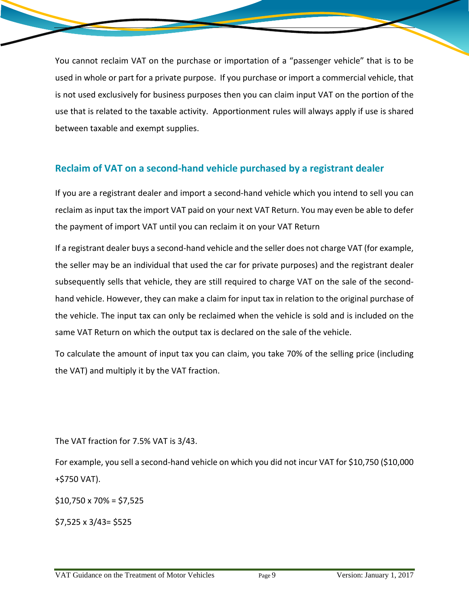You cannot reclaim VAT on the purchase or importation of a "passenger vehicle" that is to be used in whole or part for a private purpose. If you purchase or import a commercial vehicle, that is not used exclusively for business purposes then you can claim input VAT on the portion of the use that is related to the taxable activity. Apportionment rules will always apply if use is shared between taxable and exempt supplies.

# **Reclaim of VAT on a second-hand vehicle purchased by a registrant dealer**

If you are a registrant dealer and import a second-hand vehicle which you intend to sell you can reclaim as input tax the import VAT paid on your next VAT Return. You may even be able to defer the payment of import VAT until you can reclaim it on your VAT Return

If a registrant dealer buys a second-hand vehicle and the seller does not charge VAT (for example, the seller may be an individual that used the car for private purposes) and the registrant dealer subsequently sells that vehicle, they are still required to charge VAT on the sale of the secondhand vehicle. However, they can make a claim for input tax in relation to the original purchase of the vehicle. The input tax can only be reclaimed when the vehicle is sold and is included on the same VAT Return on which the output tax is declared on the sale of the vehicle.

To calculate the amount of input tax you can claim, you take 70% of the selling price (including the VAT) and multiply it by the VAT fraction.

The VAT fraction for 7.5% VAT is 3/43.

For example, you sell a second-hand vehicle on which you did not incur VAT for \$10,750 (\$10,000 +\$750 VAT).

 $$10,750 \times 70\% = $7,525$ 

\$7,525 x 3/43= \$525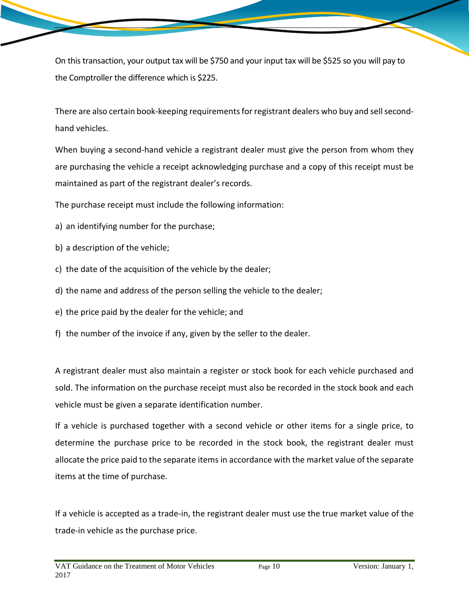On this transaction, your output tax will be \$750 and your input tax will be \$525 so you will pay to the Comptroller the difference which is \$225.

There are also certain book-keeping requirements for registrant dealers who buy and sell secondhand vehicles.

When buying a second-hand vehicle a registrant dealer must give the person from whom they are purchasing the vehicle a receipt acknowledging purchase and a copy of this receipt must be maintained as part of the registrant dealer's records.

The purchase receipt must include the following information:

- a) an identifying number for the purchase;
- b) a description of the vehicle;
- c) the date of the acquisition of the vehicle by the dealer;
- d) the name and address of the person selling the vehicle to the dealer;
- e) the price paid by the dealer for the vehicle; and
- f) the number of the invoice if any, given by the seller to the dealer.

A registrant dealer must also maintain a register or stock book for each vehicle purchased and sold. The information on the purchase receipt must also be recorded in the stock book and each vehicle must be given a separate identification number.

If a vehicle is purchased together with a second vehicle or other items for a single price, to determine the purchase price to be recorded in the stock book, the registrant dealer must allocate the price paid to the separate items in accordance with the market value of the separate items at the time of purchase.

If a vehicle is accepted as a trade-in, the registrant dealer must use the true market value of the trade-in vehicle as the purchase price.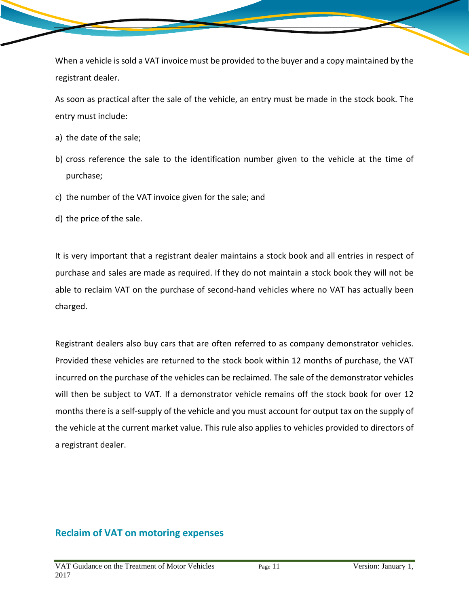When a vehicle is sold a VAT invoice must be provided to the buyer and a copy maintained by the registrant dealer.

As soon as practical after the sale of the vehicle, an entry must be made in the stock book. The entry must include:

- a) the date of the sale;
- b) cross reference the sale to the identification number given to the vehicle at the time of purchase;
- c) the number of the VAT invoice given for the sale; and
- d) the price of the sale.

It is very important that a registrant dealer maintains a stock book and all entries in respect of purchase and sales are made as required. If they do not maintain a stock book they will not be able to reclaim VAT on the purchase of second-hand vehicles where no VAT has actually been charged.

Registrant dealers also buy cars that are often referred to as company demonstrator vehicles. Provided these vehicles are returned to the stock book within 12 months of purchase, the VAT incurred on the purchase of the vehicles can be reclaimed. The sale of the demonstrator vehicles will then be subject to VAT. If a demonstrator vehicle remains off the stock book for over 12 months there is a self-supply of the vehicle and you must account for output tax on the supply of the vehicle at the current market value. This rule also applies to vehicles provided to directors of a registrant dealer.

## **Reclaim of VAT on motoring expenses**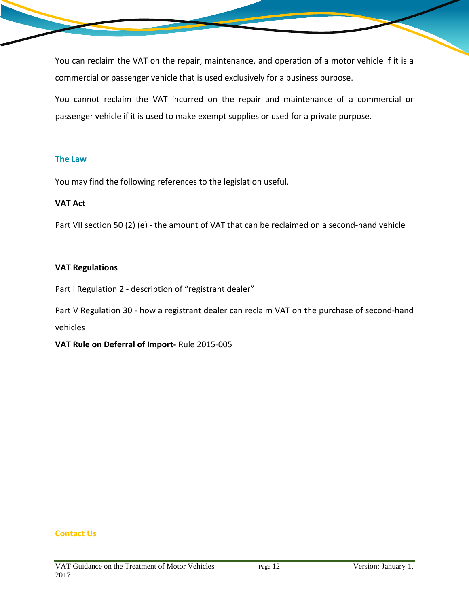You can reclaim the VAT on the repair, maintenance, and operation of a motor vehicle if it is a commercial or passenger vehicle that is used exclusively for a business purpose.

You cannot reclaim the VAT incurred on the repair and maintenance of a commercial or passenger vehicle if it is used to make exempt supplies or used for a private purpose.

#### **The Law**

You may find the following references to the legislation useful.

### **VAT Act**

Part VII section 50 (2) (e) - the amount of VAT that can be reclaimed on a second-hand vehicle

#### **VAT Regulations**

Part I Regulation 2 - description of "registrant dealer"

Part V Regulation 30 - how a registrant dealer can reclaim VAT on the purchase of second-hand vehicles

**VAT Rule on Deferral of Import-** Rule 2015-005

#### **Contact Us**